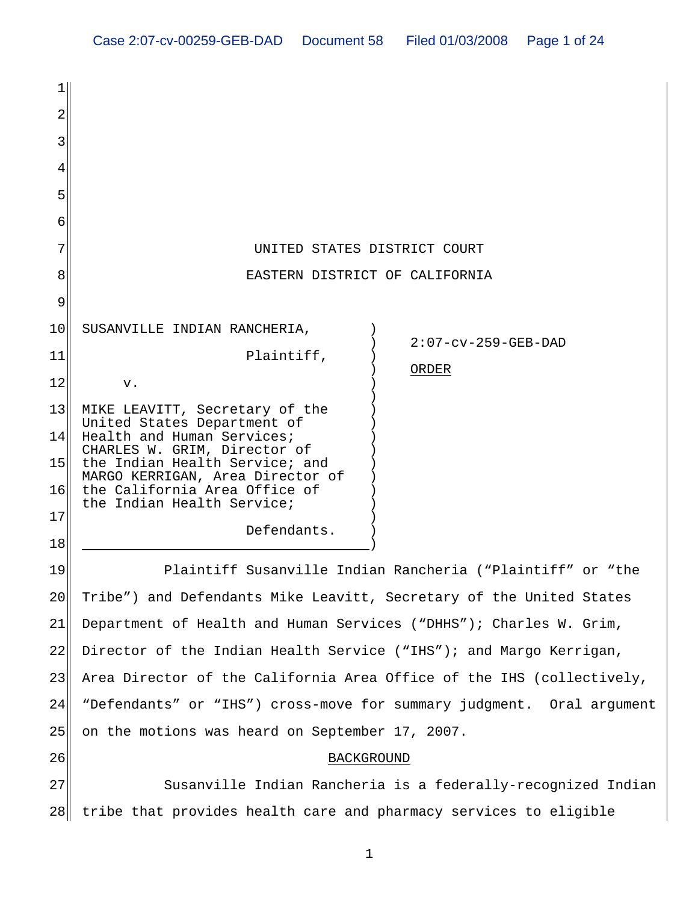| 1        |                                                                                                                                   |
|----------|-----------------------------------------------------------------------------------------------------------------------------------|
| 2        |                                                                                                                                   |
| 3        |                                                                                                                                   |
| 4        |                                                                                                                                   |
| 5        |                                                                                                                                   |
| 6        |                                                                                                                                   |
| 7        | UNITED STATES DISTRICT COURT                                                                                                      |
| 8        | EASTERN DISTRICT OF CALIFORNIA                                                                                                    |
| 9        |                                                                                                                                   |
| 10       | SUSANVILLE INDIAN RANCHERIA,<br>$2:07$ -cv-259-GEB-DAD                                                                            |
| 11       | Plaintiff,<br>ORDER                                                                                                               |
| 12       | v.                                                                                                                                |
| 13<br>14 | MIKE LEAVITT, Secretary of the<br>United States Department of<br>Health and Human Services;<br>CHARLES W. GRIM, Director of       |
| 15<br>16 | the Indian Health Service; and<br>MARGO KERRIGAN, Area Director of<br>the California Area Office of<br>the Indian Health Service; |
| 17<br>18 | Defendants.                                                                                                                       |
| 19       | Plaintiff Susanville Indian Rancheria ("Plaintiff" or "the                                                                        |
| 20       | Tribe") and Defendants Mike Leavitt, Secretary of the United States                                                               |
| 21       | Department of Health and Human Services ("DHHS"); Charles W. Grim,                                                                |
| 22       | Director of the Indian Health Service ("IHS"); and Margo Kerrigan,                                                                |
| 23       | Area Director of the California Area Office of the IHS (collectively,                                                             |
| 24       | "Defendants" or "IHS") cross-move for summary judgment. Oral argument                                                             |
| 25       | on the motions was heard on September 17, 2007.                                                                                   |
| 26       | <b>BACKGROUND</b>                                                                                                                 |
| 27       | Susanville Indian Rancheria is a federally-recognized Indian                                                                      |

28 tribe that provides health care and pharmacy services to eligible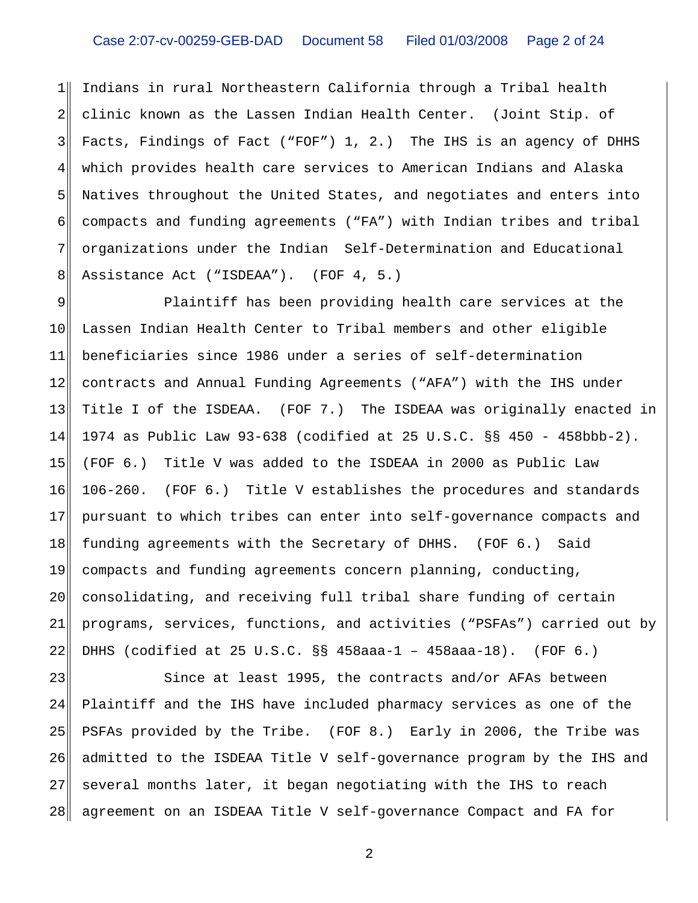1 2 3 4 5 6 7 8 Indians in rural Northeastern California through a Tribal health clinic known as the Lassen Indian Health Center. (Joint Stip. of Facts, Findings of Fact ("FOF") 1, 2.) The IHS is an agency of DHHS which provides health care services to American Indians and Alaska Natives throughout the United States, and negotiates and enters into compacts and funding agreements ("FA") with Indian tribes and tribal organizations under the Indian Self-Determination and Educational Assistance Act ("ISDEAA"). (FOF 4, 5.)

9 10 11 12 13 14 15 16 17 18 19 20 21 22 Plaintiff has been providing health care services at the Lassen Indian Health Center to Tribal members and other eligible beneficiaries since 1986 under a series of self-determination contracts and Annual Funding Agreements ("AFA") with the IHS under Title I of the ISDEAA. (FOF 7.) The ISDEAA was originally enacted in 1974 as Public Law 93-638 (codified at 25 U.S.C. §§ 450 - 458bbb-2). (FOF 6.) Title V was added to the ISDEAA in 2000 as Public Law 106-260. (FOF 6.) Title V establishes the procedures and standards pursuant to which tribes can enter into self-governance compacts and funding agreements with the Secretary of DHHS. (FOF 6.) Said compacts and funding agreements concern planning, conducting, consolidating, and receiving full tribal share funding of certain programs, services, functions, and activities ("PSFAs") carried out by DHHS (codified at 25 U.S.C. §§ 458aaa-1 – 458aaa-18). (FOF 6.)

23 24 25 26 27 28 Since at least 1995, the contracts and/or AFAs between Plaintiff and the IHS have included pharmacy services as one of the PSFAs provided by the Tribe. (FOF 8.) Early in 2006, the Tribe was admitted to the ISDEAA Title V self-governance program by the IHS and several months later, it began negotiating with the IHS to reach agreement on an ISDEAA Title V self-governance Compact and FA for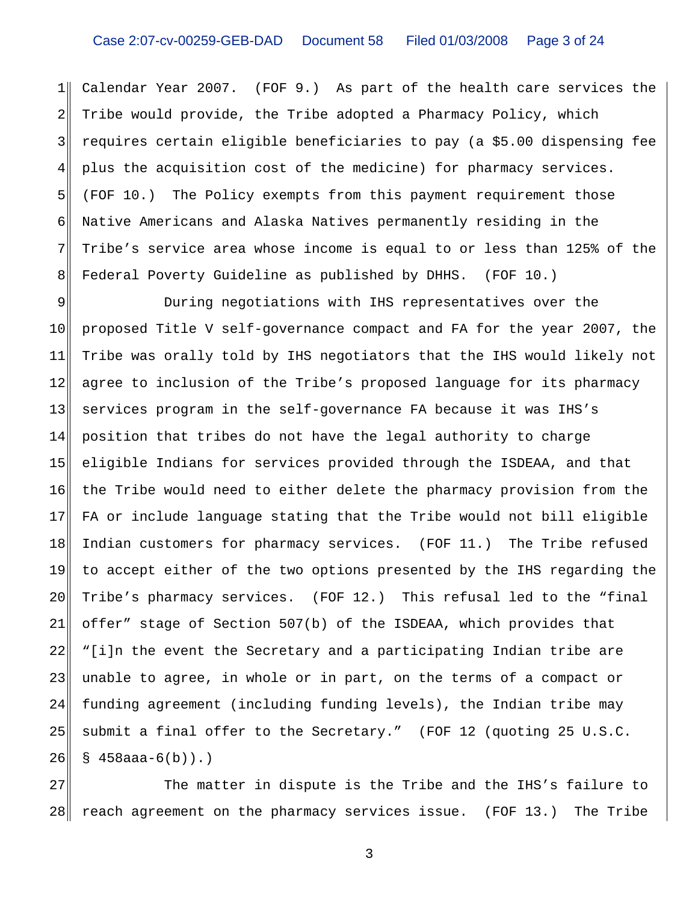$1$ 2 3 4 5 6 7 8 Calendar Year 2007. (FOF 9.) As part of the health care services the Tribe would provide, the Tribe adopted a Pharmacy Policy, which requires certain eligible beneficiaries to pay (a \$5.00 dispensing fee plus the acquisition cost of the medicine) for pharmacy services. (FOF 10.) The Policy exempts from this payment requirement those Native Americans and Alaska Natives permanently residing in the Tribe's service area whose income is equal to or less than 125% of the Federal Poverty Guideline as published by DHHS. (FOF 10.)

9 10 11 12 13 14 15 16 17 18 19 20 21 22 23 24 25 26 During negotiations with IHS representatives over the proposed Title V self-governance compact and FA for the year 2007, the Tribe was orally told by IHS negotiators that the IHS would likely not agree to inclusion of the Tribe's proposed language for its pharmacy services program in the self-governance FA because it was IHS's position that tribes do not have the legal authority to charge eligible Indians for services provided through the ISDEAA, and that the Tribe would need to either delete the pharmacy provision from the FA or include language stating that the Tribe would not bill eligible Indian customers for pharmacy services. (FOF 11.) The Tribe refused to accept either of the two options presented by the IHS regarding the Tribe's pharmacy services. (FOF 12.) This refusal led to the "final offer" stage of Section 507(b) of the ISDEAA, which provides that "[i]n the event the Secretary and a participating Indian tribe are unable to agree, in whole or in part, on the terms of a compact or funding agreement (including funding levels), the Indian tribe may submit a final offer to the Secretary." (FOF 12 (quoting 25 U.S.C.  $§ 458$ aaa-6(b)).)

27 28 The matter in dispute is the Tribe and the IHS's failure to reach agreement on the pharmacy services issue. (FOF 13.) The Tribe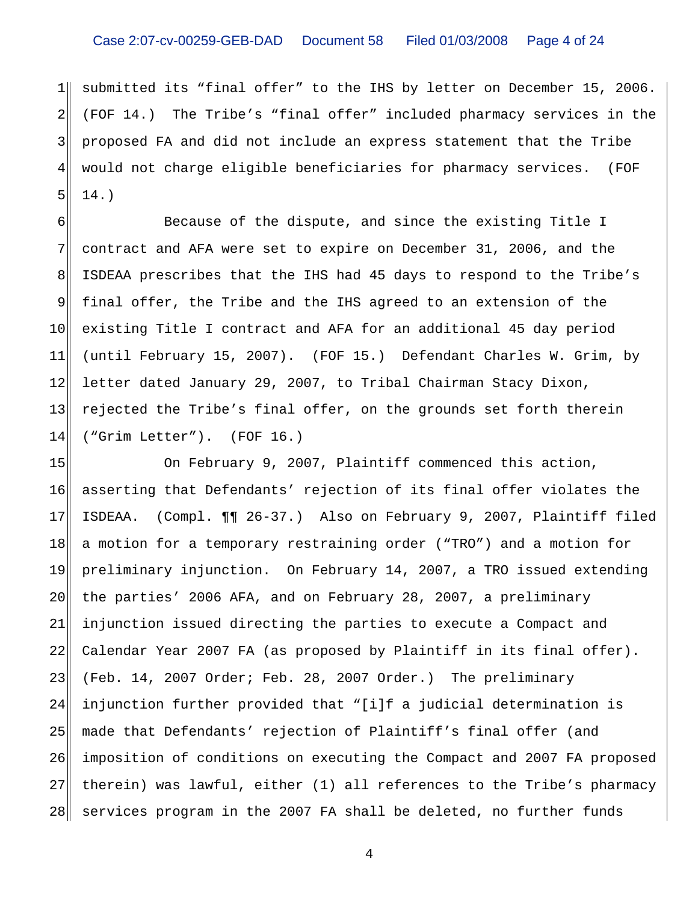$1$ 2 3 4 5 submitted its "final offer" to the IHS by letter on December 15, 2006. (FOF 14.) The Tribe's "final offer" included pharmacy services in the proposed FA and did not include an express statement that the Tribe would not charge eligible beneficiaries for pharmacy services. (FOF 14.)

6 7 8 9 10 11 12 13 14 Because of the dispute, and since the existing Title I contract and AFA were set to expire on December 31, 2006, and the ISDEAA prescribes that the IHS had 45 days to respond to the Tribe's final offer, the Tribe and the IHS agreed to an extension of the existing Title I contract and AFA for an additional 45 day period (until February 15, 2007). (FOF 15.) Defendant Charles W. Grim, by letter dated January 29, 2007, to Tribal Chairman Stacy Dixon, rejected the Tribe's final offer, on the grounds set forth therein ("Grim Letter"). (FOF 16.)

15 16 17 18 19 20 21 22 23 24 25 26 27 28 On February 9, 2007, Plaintiff commenced this action, asserting that Defendants' rejection of its final offer violates the ISDEAA. (Compl. ¶¶ 26-37.) Also on February 9, 2007, Plaintiff filed a motion for a temporary restraining order ("TRO") and a motion for preliminary injunction. On February 14, 2007, a TRO issued extending the parties' 2006 AFA, and on February 28, 2007, a preliminary injunction issued directing the parties to execute a Compact and Calendar Year 2007 FA (as proposed by Plaintiff in its final offer). (Feb. 14, 2007 Order; Feb. 28, 2007 Order.) The preliminary injunction further provided that "[i]f a judicial determination is made that Defendants' rejection of Plaintiff's final offer (and imposition of conditions on executing the Compact and 2007 FA proposed therein) was lawful, either (1) all references to the Tribe's pharmacy services program in the 2007 FA shall be deleted, no further funds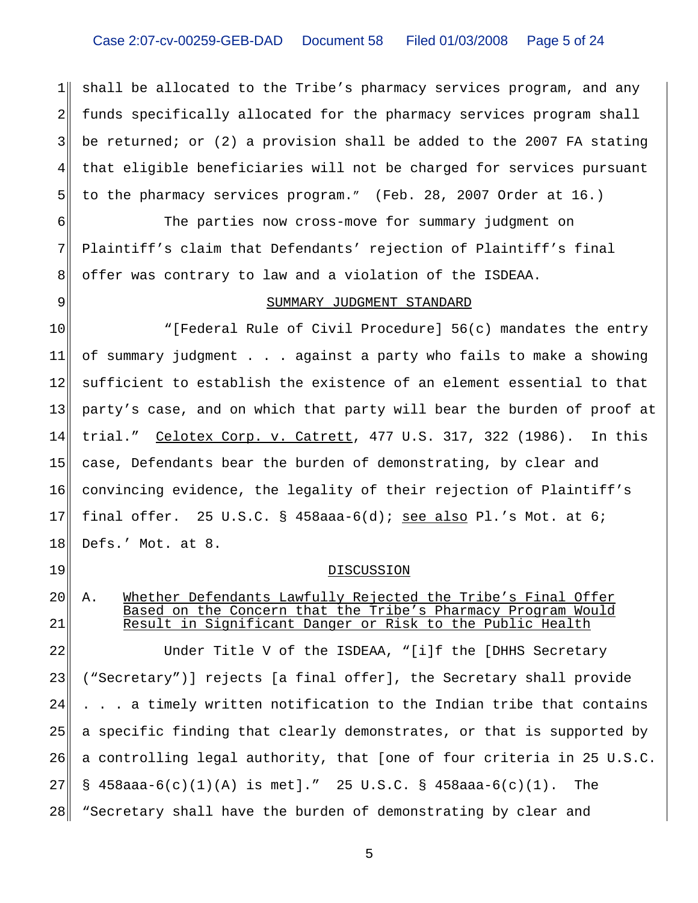## Case 2:07-cv-00259-GEB-DAD Document 58 Filed 01/03/2008 Page 5 of 24

1 2 3 4 5 shall be allocated to the Tribe's pharmacy services program, and any funds specifically allocated for the pharmacy services program shall be returned; or (2) a provision shall be added to the 2007 FA stating that eligible beneficiaries will not be charged for services pursuant to the pharmacy services program." (Feb. 28, 2007 Order at 16.)

6 7 8 The parties now cross-move for summary judgment on Plaintiff's claim that Defendants' rejection of Plaintiff's final offer was contrary to law and a violation of the ISDEAA.

9

19

20

21

#### SUMMARY JUDGMENT STANDARD

10 11 12 13 14 15 16 17 18 "[Federal Rule of Civil Procedure] 56(c) mandates the entry of summary judgment . . . against a party who fails to make a showing sufficient to establish the existence of an element essential to that party's case, and on which that party will bear the burden of proof at trial." Celotex Corp. v. Catrett, 477 U.S. 317, 322 (1986). In this case, Defendants bear the burden of demonstrating, by clear and convincing evidence, the legality of their rejection of Plaintiff's final offer. 25 U.S.C. § 458aaa-6(d); see also Pl.'s Mot. at 6; Defs.' Mot. at 8.

#### **DISCUSSION**

# A. Whether Defendants Lawfully Rejected the Tribe's Final Offer Based on the Concern that the Tribe's Pharmacy Program Would Result in Significant Danger or Risk to the Public Health

22 23 24 25 26 27 28 Under Title V of the ISDEAA, "[i]f the [DHHS Secretary ("Secretary")] rejects [a final offer], the Secretary shall provide . . . a timely written notification to the Indian tribe that contains a specific finding that clearly demonstrates, or that is supported by a controlling legal authority, that [one of four criteria in 25 U.S.C.  $\S$  458aaa-6(c)(1)(A) is met]." 25 U.S.C.  $\S$  458aaa-6(c)(1). The "Secretary shall have the burden of demonstrating by clear and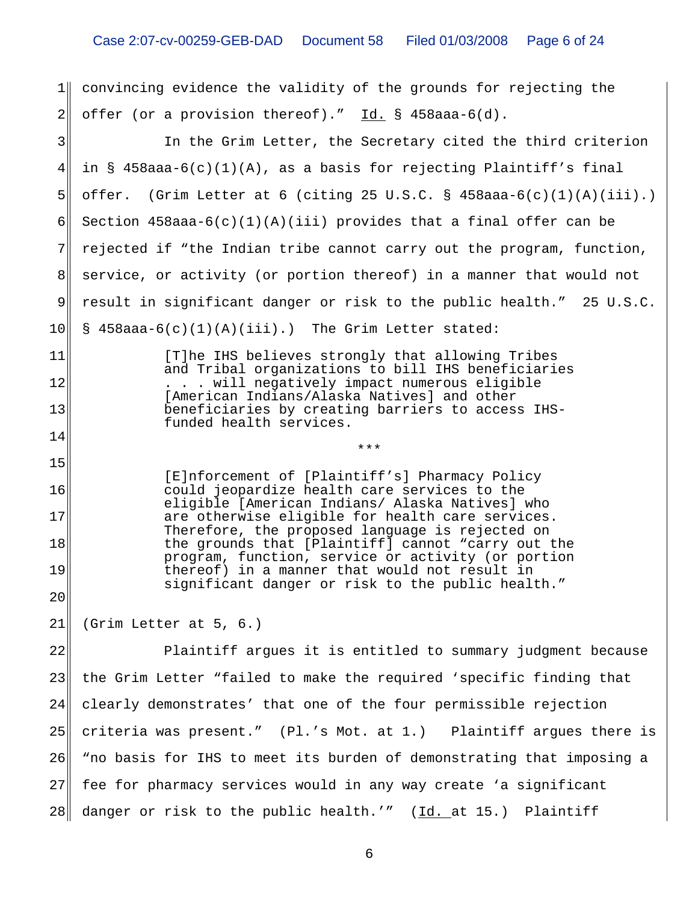1 convincing evidence the validity of the grounds for rejecting the  $2\parallel$  offer (or a provision thereof)."  $\underline{\text{Id.}}$  § 458aaa-6(d).

| 3 <sup>1</sup> | In the Grim Letter, the Secretary cited the third criterion                                                                                            |
|----------------|--------------------------------------------------------------------------------------------------------------------------------------------------------|
| 4 <sub>1</sub> | in § 458aaa-6(c)(1)(A), as a basis for rejecting Plaintiff's final                                                                                     |
| 5              | offer. (Grim Letter at 6 (citing 25 U.S.C. § 458aaa-6(c)(1)(A)(iii).)                                                                                  |
| 6              | Section $458$ aaa-6(c)(1)(A)(iii) provides that a final offer can be                                                                                   |
| 7              | rejected if "the Indian tribe cannot carry out the program, function,                                                                                  |
| 8 <sup>1</sup> | service, or activity (or portion thereof) in a manner that would not                                                                                   |
| 9              | result in significant danger or risk to the public health." 25 U.S.C.                                                                                  |
| 10             | $\S$ 458aaa-6(c)(1)(A)(iii).) The Grim Letter stated:                                                                                                  |
| 11             | [T]he IHS believes strongly that allowing Tribes                                                                                                       |
| 12             | and Tribal organizations to bill IHS beneficiaries<br>. will negatively impact numerous eligible                                                       |
| 13             | [American Indians/Alaska Natives] and other<br>beneficiaries by creating barriers to access IHS-                                                       |
| 14             | funded health services.<br>***                                                                                                                         |
| 15             |                                                                                                                                                        |
| 16             | [E]nforcement of [Plaintiff's] Pharmacy Policy<br>could jeopardize health care services to the                                                         |
| 17             | eligible [American Indians/ Alaska Natives] who<br>are otherwise eligible for health care services.<br>Therefore, the proposed language is rejected on |
| 18             | the grounds that [Plaintiff] cannot "carry out the<br>program, function, service or activity (or portion                                               |
| 19             | thereof) in a manner that would not result in<br>significant danger or risk to the public health."                                                     |
| 20             |                                                                                                                                                        |
| 21             | (Grim Letter at 5, 6.)                                                                                                                                 |
| 22             | Plaintiff argues it is entitled to summary judgment because                                                                                            |
| 23             | the Grim Letter "failed to make the required 'specific finding that                                                                                    |
| 24             | clearly demonstrates' that one of the four permissible rejection                                                                                       |
| 25             | criteria was present." (Pl.'s Mot. at 1.) Plaintiff argues there is                                                                                    |
| 26             | "no basis for IHS to meet its burden of demonstrating that imposing a                                                                                  |
| 27             | fee for pharmacy services would in any way create 'a significant                                                                                       |
| 28             | danger or risk to the public health.'" (Id. at 15.) Plaintiff                                                                                          |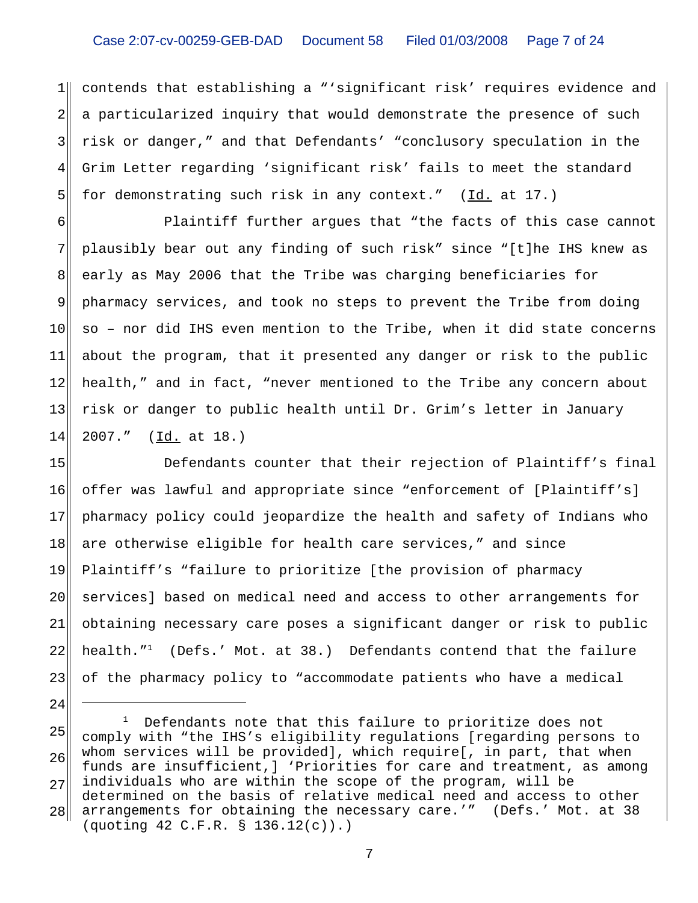$1$ 2 3 4 5 contends that establishing a "'significant risk' requires evidence and a particularized inquiry that would demonstrate the presence of such risk or danger," and that Defendants' "conclusory speculation in the Grim Letter regarding 'significant risk' fails to meet the standard for demonstrating such risk in any context."  $(Id. at 17.)$ 

6 7 8 9 10 11 12 13 14 Plaintiff further argues that "the facts of this case cannot plausibly bear out any finding of such risk" since "[t]he IHS knew as early as May 2006 that the Tribe was charging beneficiaries for pharmacy services, and took no steps to prevent the Tribe from doing so – nor did IHS even mention to the Tribe, when it did state concerns about the program, that it presented any danger or risk to the public health," and in fact, "never mentioned to the Tribe any concern about risk or danger to public health until Dr. Grim's letter in January 2007." (Id. at 18.)

15 16 17 18 19 20 21 22 23 Defendants counter that their rejection of Plaintiff's final offer was lawful and appropriate since "enforcement of [Plaintiff's] pharmacy policy could jeopardize the health and safety of Indians who are otherwise eligible for health care services," and since Plaintiff's "failure to prioritize [the provision of pharmacy services] based on medical need and access to other arrangements for obtaining necessary care poses a significant danger or risk to public health."<sup>1</sup> (Defs.' Mot. at 38.) Defendants contend that the failure of the pharmacy policy to "accommodate patients who have a medical

24

<sup>25</sup> 26 27 28 <sup>1</sup> Defendants note that this failure to prioritize does not comply with "the IHS's eligibility regulations [regarding persons to whom services will be provided], which require[, in part, that when funds are insufficient,] 'Priorities for care and treatment, as among individuals who are within the scope of the program, will be determined on the basis of relative medical need and access to other arrangements for obtaining the necessary care.'" (Defs.' Mot. at 38 (quoting 42 C.F.R. § 136.12(c)).)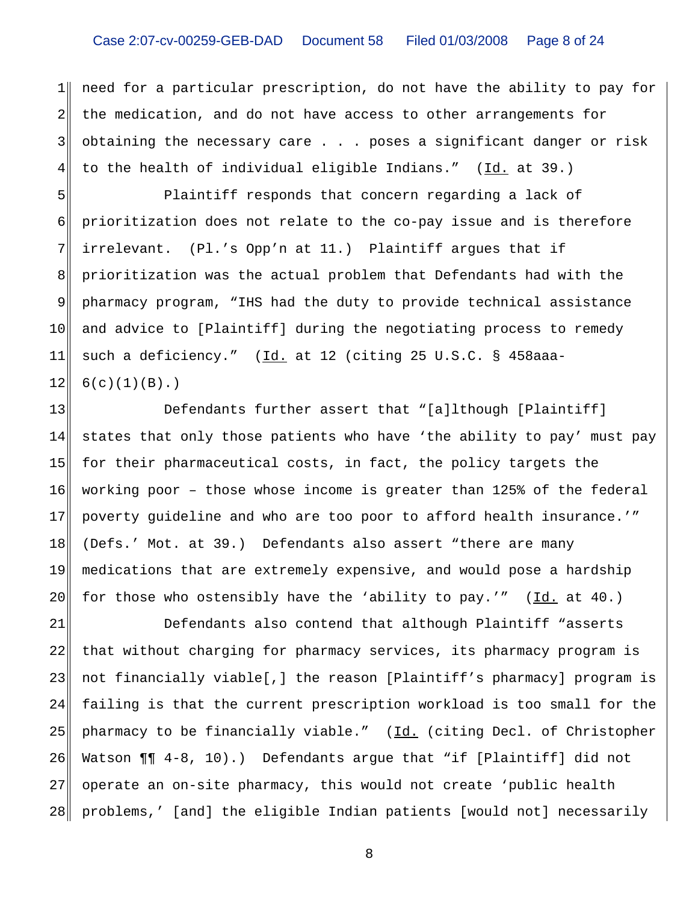$1$ 2 3 4 need for a particular prescription, do not have the ability to pay for the medication, and do not have access to other arrangements for obtaining the necessary care . . . poses a significant danger or risk to the health of individual eligible Indians." (Id. at 39.)

5 6 7 8 9 10 11 12 Plaintiff responds that concern regarding a lack of prioritization does not relate to the co-pay issue and is therefore irrelevant. (Pl.'s Opp'n at 11.) Plaintiff argues that if prioritization was the actual problem that Defendants had with the pharmacy program, "IHS had the duty to provide technical assistance and advice to [Plaintiff] during the negotiating process to remedy such a deficiency." (Id. at 12 (citing 25 U.S.C. § 458aaa- $6(c)(1)(B).$ 

13 14 15 16 17 18 19 20 Defendants further assert that "[a]lthough [Plaintiff] states that only those patients who have 'the ability to pay' must pay for their pharmaceutical costs, in fact, the policy targets the working poor – those whose income is greater than 125% of the federal poverty guideline and who are too poor to afford health insurance.'" (Defs.' Mot. at 39.) Defendants also assert "there are many medications that are extremely expensive, and would pose a hardship for those who ostensibly have the 'ability to pay.'" (Id. at 40.)

21 22 23 24 25 26 27 28 Defendants also contend that although Plaintiff "asserts that without charging for pharmacy services, its pharmacy program is not financially viable[,] the reason [Plaintiff's pharmacy] program is failing is that the current prescription workload is too small for the pharmacy to be financially viable." (Id. (citing Decl. of Christopher Watson ¶¶ 4-8, 10).) Defendants argue that "if [Plaintiff] did not operate an on-site pharmacy, this would not create 'public health problems,' [and] the eligible Indian patients [would not] necessarily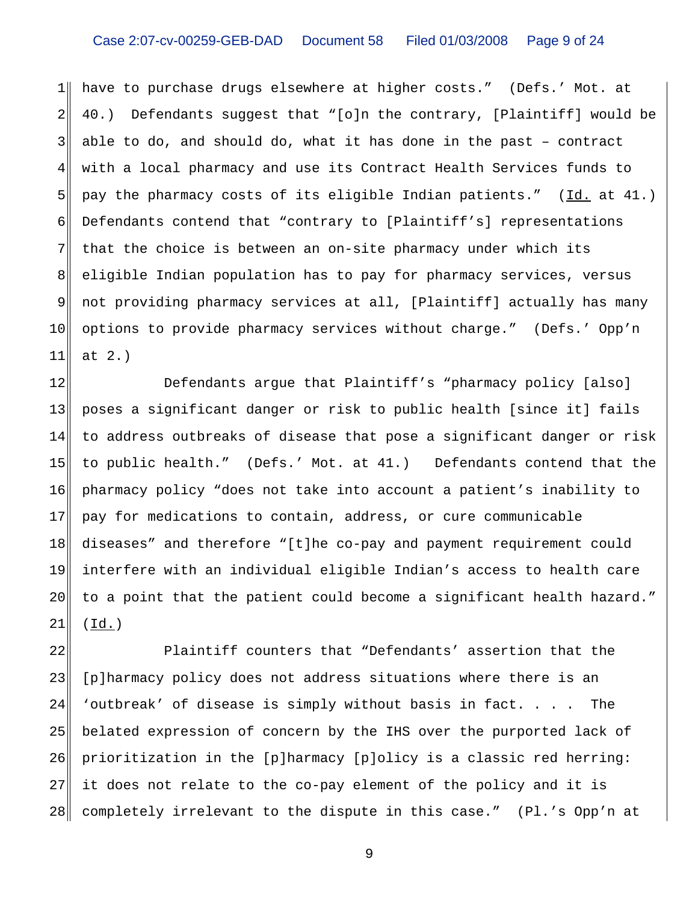## Case 2:07-cv-00259-GEB-DAD Document 58 Filed 01/03/2008 Page 9 of 24

 $1$ 2 3 4 5 6 7 8 9 10 11 have to purchase drugs elsewhere at higher costs." (Defs.' Mot. at 40.) Defendants suggest that "[o]n the contrary, [Plaintiff] would be able to do, and should do, what it has done in the past – contract with a local pharmacy and use its Contract Health Services funds to pay the pharmacy costs of its eligible Indian patients." (Id. at 41.) Defendants contend that "contrary to [Plaintiff's] representations that the choice is between an on-site pharmacy under which its eligible Indian population has to pay for pharmacy services, versus not providing pharmacy services at all, [Plaintiff] actually has many options to provide pharmacy services without charge." (Defs.' Opp'n at 2.)

12 13 14 15 16 17 18 19 20 21 Defendants argue that Plaintiff's "pharmacy policy [also] poses a significant danger or risk to public health [since it] fails to address outbreaks of disease that pose a significant danger or risk to public health." (Defs.' Mot. at 41.) Defendants contend that the pharmacy policy "does not take into account a patient's inability to pay for medications to contain, address, or cure communicable diseases" and therefore "[t]he co-pay and payment requirement could interfere with an individual eligible Indian's access to health care to a point that the patient could become a significant health hazard."  $(\underline{Id.})$ 

22 23 24 25 26 27 28 Plaintiff counters that "Defendants' assertion that the [p]harmacy policy does not address situations where there is an 'outbreak' of disease is simply without basis in fact. . . . The belated expression of concern by the IHS over the purported lack of prioritization in the [p]harmacy [p]olicy is a classic red herring: it does not relate to the co-pay element of the policy and it is completely irrelevant to the dispute in this case." (Pl.'s Opp'n at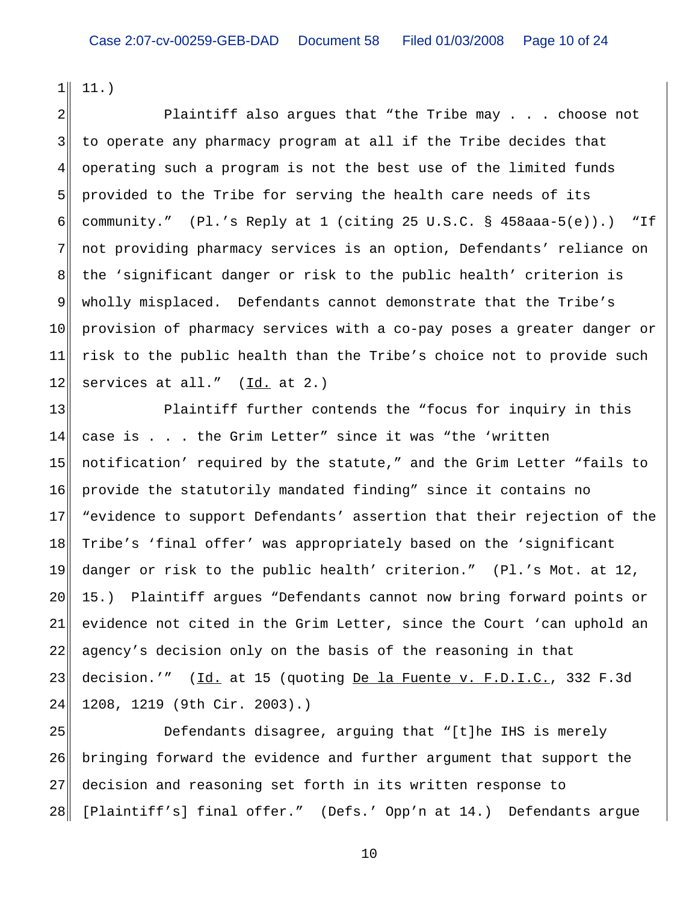$1$ 11.)

2 3 4 5 6 7 8 9 10 11 12 Plaintiff also argues that "the Tribe may . . . choose not to operate any pharmacy program at all if the Tribe decides that operating such a program is not the best use of the limited funds provided to the Tribe for serving the health care needs of its community." (Pl.'s Reply at 1 (citing 25 U.S.C. § 458aaa-5(e)).) "If not providing pharmacy services is an option, Defendants' reliance on the 'significant danger or risk to the public health' criterion is wholly misplaced. Defendants cannot demonstrate that the Tribe's provision of pharmacy services with a co-pay poses a greater danger or risk to the public health than the Tribe's choice not to provide such services at all." (Id. at 2.)

13 14 15 16 17 18 19 20 21 22 23 24 Plaintiff further contends the "focus for inquiry in this case is . . . the Grim Letter" since it was "the 'written notification' required by the statute," and the Grim Letter "fails to provide the statutorily mandated finding" since it contains no "evidence to support Defendants' assertion that their rejection of the Tribe's 'final offer' was appropriately based on the 'significant danger or risk to the public health' criterion." (Pl.'s Mot. at 12, 15.) Plaintiff argues "Defendants cannot now bring forward points or evidence not cited in the Grim Letter, since the Court 'can uphold an agency's decision only on the basis of the reasoning in that decision.'" (Id. at 15 (quoting De la Fuente v. F.D.I.C., 332 F.3d 1208, 1219 (9th Cir. 2003).)

25 26 27 28 Defendants disagree, arguing that "[t]he IHS is merely bringing forward the evidence and further argument that support the decision and reasoning set forth in its written response to [Plaintiff's] final offer." (Defs.' Opp'n at 14.) Defendants argue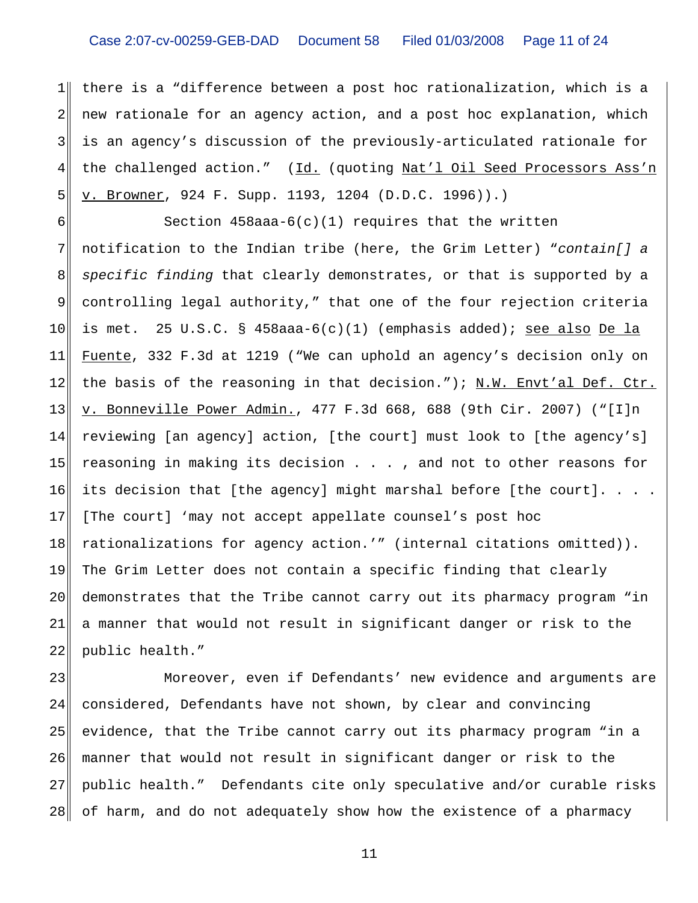$1$ 2 3 4 5 there is a "difference between a post hoc rationalization, which is a new rationale for an agency action, and a post hoc explanation, which is an agency's discussion of the previously-articulated rationale for the challenged action." (Id. (quoting Nat'l Oil Seed Processors Ass'n v. Browner, 924 F. Supp. 1193, 1204 (D.D.C. 1996)).)

6 7 8 9 10 11 12 13 14 15 16 17 18 19 20 21 22 Section  $458$ aaa- $6(c)(1)$  requires that the written notification to the Indian tribe (here, the Grim Letter) "*contain[] a specific finding* that clearly demonstrates, or that is supported by a controlling legal authority," that one of the four rejection criteria is met. 25 U.S.C. § 458aaa-6(c)(1) (emphasis added); see also De la Fuente, 332 F.3d at 1219 ("We can uphold an agency's decision only on the basis of the reasoning in that decision."); N.W. Envt'al Def. Ctr. v. Bonneville Power Admin., 477 F.3d 668, 688 (9th Cir. 2007) ("[I]n reviewing [an agency] action, [the court] must look to [the agency's] reasoning in making its decision . . . , and not to other reasons for its decision that [the agency] might marshal before [the court]. . . . [The court] 'may not accept appellate counsel's post hoc rationalizations for agency action.'" (internal citations omitted)). The Grim Letter does not contain a specific finding that clearly demonstrates that the Tribe cannot carry out its pharmacy program "in a manner that would not result in significant danger or risk to the public health."

23 24 25 26 27 28 Moreover, even if Defendants' new evidence and arguments are considered, Defendants have not shown, by clear and convincing evidence, that the Tribe cannot carry out its pharmacy program "in a manner that would not result in significant danger or risk to the public health." Defendants cite only speculative and/or curable risks of harm, and do not adequately show how the existence of a pharmacy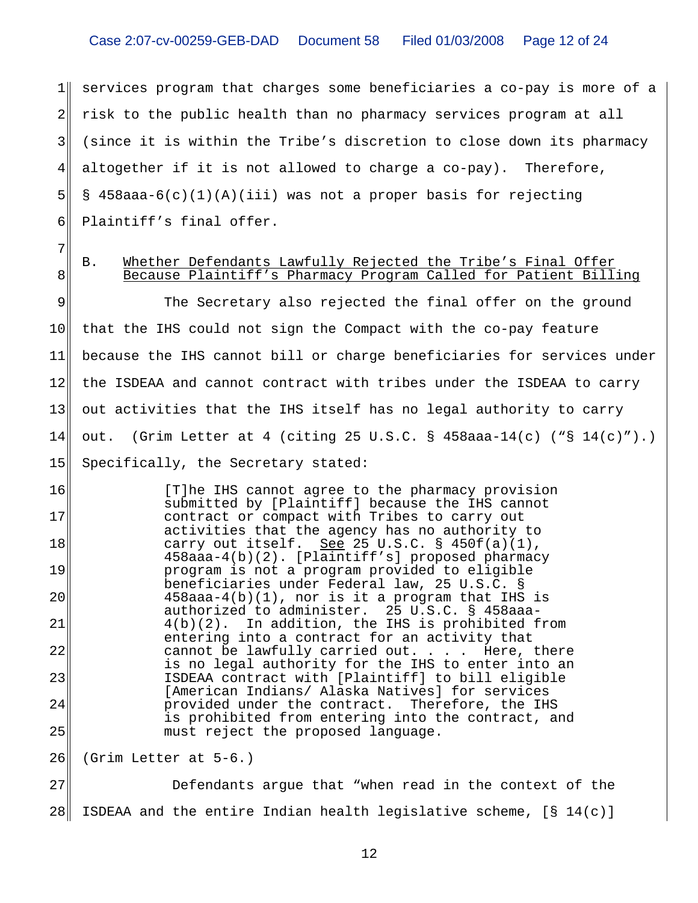1 2 3 4 5 6 services program that charges some beneficiaries a co-pay is more of a risk to the public health than no pharmacy services program at all (since it is within the Tribe's discretion to close down its pharmacy altogether if it is not allowed to charge a co-pay). Therefore, § 458aaa-6(c)(1)(A)(iii) was not a proper basis for rejecting Plaintiff's final offer.

7 8

## B. Whether Defendants Lawfully Rejected the Tribe's Final Offer Because Plaintiff's Pharmacy Program Called for Patient Billing

9 10 11 12 13 14 15 The Secretary also rejected the final offer on the ground that the IHS could not sign the Compact with the co-pay feature because the IHS cannot bill or charge beneficiaries for services under the ISDEAA and cannot contract with tribes under the ISDEAA to carry out activities that the IHS itself has no legal authority to carry out. (Grim Letter at 4 (citing 25 U.S.C. § 458aaa-14(c) ("§ 14(c)").) Specifically, the Secretary stated:

16 17 18 19 20 21 22 23 24 25 [T]he IHS cannot agree to the pharmacy provision submitted by [Plaintiff] because the IHS cannot contract or compact with Tribes to carry out activities that the agency has no authority to carry out itself. See 25 U.S.C.  $\S$  450f(a)(1), 458aaa-4(b)(2). [Plaintiff's] proposed pharmacy program is not a program provided to eligible beneficiaries under Federal law, 25 U.S.C. § 458aaa-4(b)(1), nor is it a program that IHS is authorized to administer. 25 U.S.C. § 458aaa-4(b)(2). In addition, the IHS is prohibited from entering into a contract for an activity that cannot be lawfully carried out. . . . Here, there is no legal authority for the IHS to enter into an ISDEAA contract with [Plaintiff] to bill eligible [American Indians/ Alaska Natives] for services provided under the contract. Therefore, the IHS is prohibited from entering into the contract, and must reject the proposed language.

26 (Grim Letter at 5-6.)

27 28 Defendants argue that "when read in the context of the ISDEAA and the entire Indian health legislative scheme,  $[§ 14(c)]$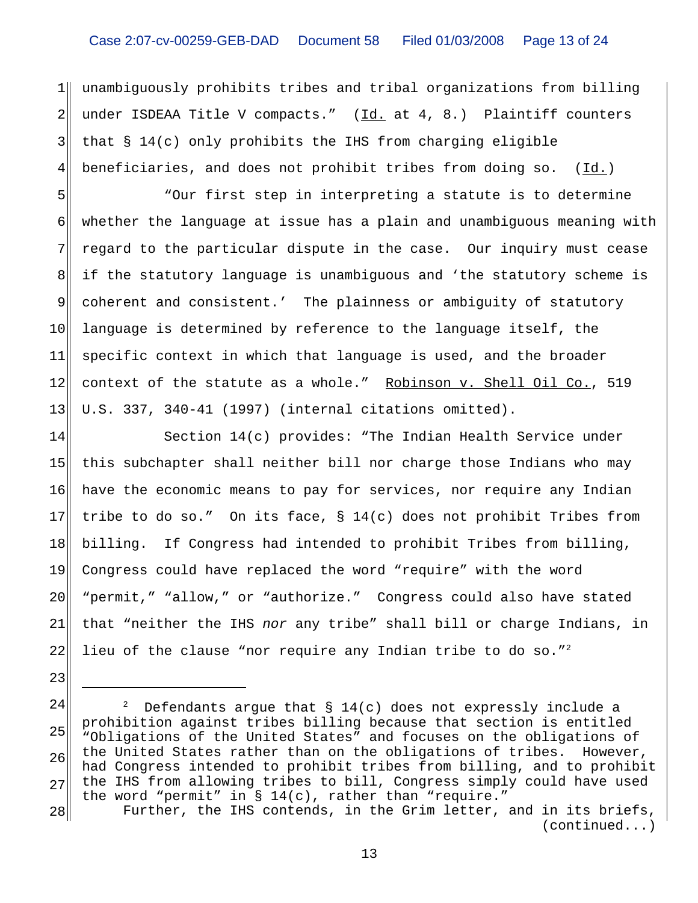$1$ 2 3 4 unambiguously prohibits tribes and tribal organizations from billing under ISDEAA Title V compacts."  $(\underline{Id.}$  at 4, 8.) Plaintiff counters that § 14(c) only prohibits the IHS from charging eligible beneficiaries, and does not prohibit tribes from doing so.  $(\underline{Id.})$ 

5 6 7 8 9 10 11 12 13 "Our first step in interpreting a statute is to determine whether the language at issue has a plain and unambiguous meaning with regard to the particular dispute in the case. Our inquiry must cease if the statutory language is unambiguous and 'the statutory scheme is coherent and consistent.' The plainness or ambiguity of statutory language is determined by reference to the language itself, the specific context in which that language is used, and the broader context of the statute as a whole." Robinson v. Shell Oil Co., 519 U.S. 337, 340-41 (1997) (internal citations omitted).

14 15 16 17 18 19 20 21 22 Section 14(c) provides: "The Indian Health Service under this subchapter shall neither bill nor charge those Indians who may have the economic means to pay for services, nor require any Indian tribe to do so." On its face, § 14(c) does not prohibit Tribes from billing. If Congress had intended to prohibit Tribes from billing, Congress could have replaced the word "require" with the word "permit," "allow," or "authorize." Congress could also have stated that "neither the IHS *nor* any tribe" shall bill or charge Indians, in lieu of the clause "nor require any Indian tribe to do so."<sup>2</sup>

23

<sup>24</sup> 25 26 27 <sup>2</sup> Defendants argue that  $\S$  14(c) does not expressly include a prohibition against tribes billing because that section is entitled "Obligations of the United States" and focuses on the obligations of the United States rather than on the obligations of tribes. However, had Congress intended to prohibit tribes from billing, and to prohibit the IHS from allowing tribes to bill, Congress simply could have used the word "permit" in  $\S 14(c)$ , rather than "require."

<sup>28</sup> Further, the IHS contends, in the Grim letter, and in its briefs, (continued...)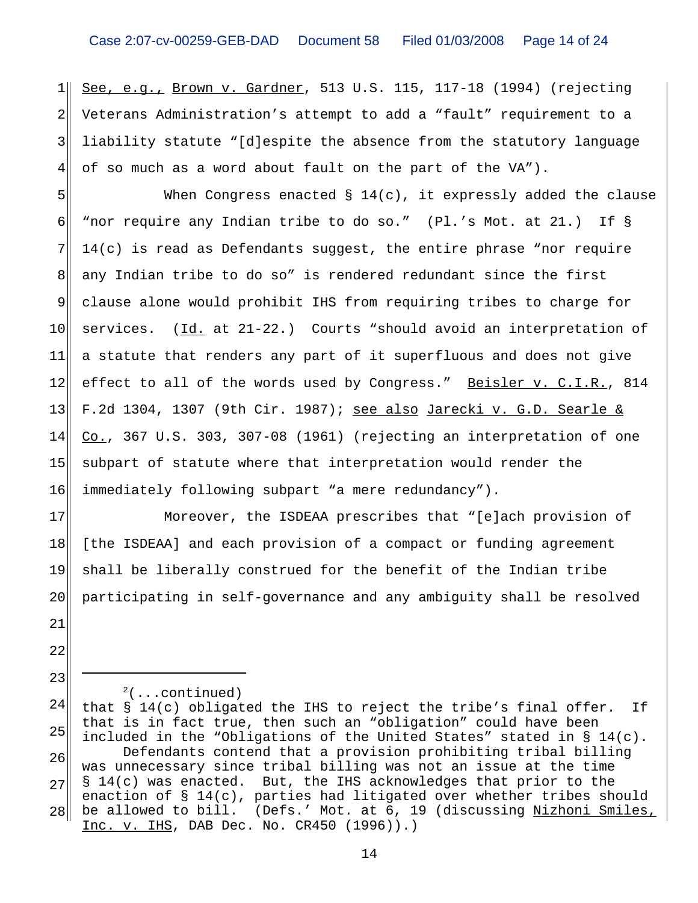1 2 3 4 See, e.g., Brown v. Gardner, 513 U.S. 115, 117-18 (1994) (rejecting Veterans Administration's attempt to add a "fault" requirement to a liability statute "[d]espite the absence from the statutory language of so much as a word about fault on the part of the VA").

5 6 7 8 9 10 11 12 13 14 15 16 When Congress enacted  $\S 14(c)$ , it expressly added the clause "nor require any Indian tribe to do so." (Pl.'s Mot. at 21.) If § 14(c) is read as Defendants suggest, the entire phrase "nor require any Indian tribe to do so" is rendered redundant since the first clause alone would prohibit IHS from requiring tribes to charge for services.  $(\underline{Id.}$  at  $21-22.$ ) Courts "should avoid an interpretation of a statute that renders any part of it superfluous and does not give effect to all of the words used by Congress." Beisler v. C.I.R., 814 F.2d 1304, 1307 (9th Cir. 1987); see also Jarecki v. G.D. Searle & Co., 367 U.S. 303, 307-08 (1961) (rejecting an interpretation of one subpart of statute where that interpretation would render the immediately following subpart "a mere redundancy").

17 18 19 20 21 Moreover, the ISDEAA prescribes that "[e]ach provision of [the ISDEAA] and each provision of a compact or funding agreement shall be liberally construed for the benefit of the Indian tribe participating in self-governance and any ambiguity shall be resolved

22

23

 $2($ ...continued)

24 25 26 27 28 that § 14(c) obligated the IHS to reject the tribe's final offer. If that is in fact true, then such an "obligation" could have been included in the "Obligations of the United States" stated in § 14(c). Defendants contend that a provision prohibiting tribal billing was unnecessary since tribal billing was not an issue at the time § 14(c) was enacted. But, the IHS acknowledges that prior to the enaction of § 14(c), parties had litigated over whether tribes should be allowed to bill. (Defs.' Mot. at 6, 19 (discussing Nizhoni Smiles, Inc. v. IHS, DAB Dec. No. CR450 (1996)).)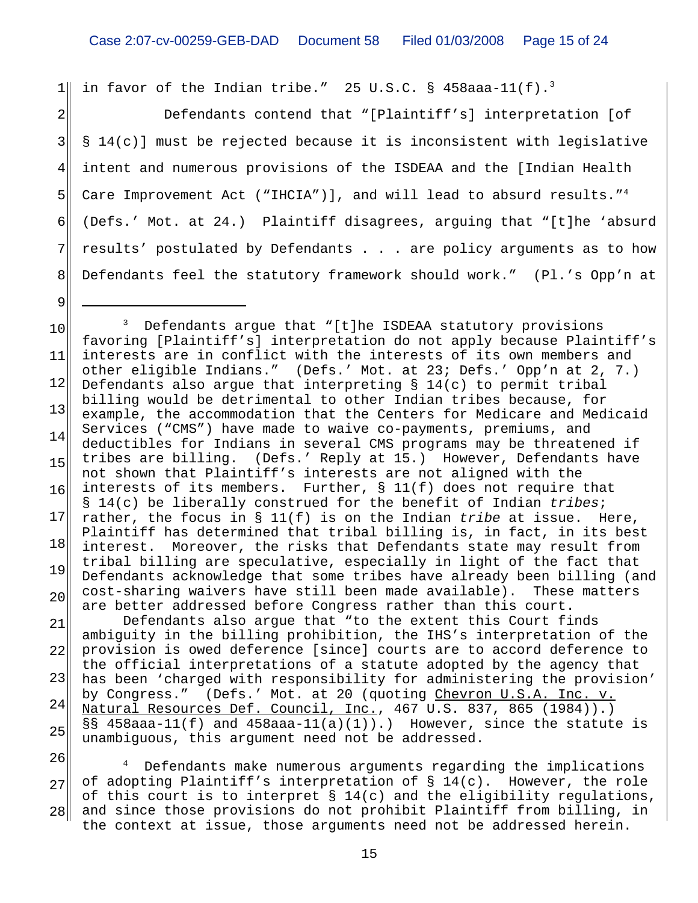$1$ in favor of the Indian tribe." 25 U.S.C. § 458aaa-11(f).<sup>3</sup>

2 3 4 5 6 7 8 Defendants contend that "[Plaintiff's] interpretation [of § 14(c)] must be rejected because it is inconsistent with legislative intent and numerous provisions of the ISDEAA and the [Indian Health Care Improvement Act ("IHCIA")], and will lead to absurd results."<sup>4</sup> (Defs.' Mot. at 24.) Plaintiff disagrees, arguing that "[t]he 'absurd results' postulated by Defendants . . . are policy arguments as to how Defendants feel the statutory framework should work." (Pl.'s Opp'n at

9

10 11 12 13 14 15 16 17 18 19 20 21 22 23 24 25 26 <sup>3</sup> Defendants argue that "[t]he ISDEAA statutory provisions favoring [Plaintiff's] interpretation do not apply because Plaintiff's interests are in conflict with the interests of its own members and other eligible Indians." (Defs.' Mot. at 23; Defs.' Opp'n at 2, 7.) Defendants also argue that interpreting § 14(c) to permit tribal billing would be detrimental to other Indian tribes because, for example, the accommodation that the Centers for Medicare and Medicaid Services ("CMS") have made to waive co-payments, premiums, and deductibles for Indians in several CMS programs may be threatened if tribes are billing. (Defs.' Reply at 15.) However, Defendants have not shown that Plaintiff's interests are not aligned with the interests of its members. Further, § 11(f) does not require that § 14(c) be liberally construed for the benefit of Indian *tribes*; rather, the focus in § 11(f) is on the Indian *tribe* at issue. Here, Plaintiff has determined that tribal billing is, in fact, in its best interest. Moreover, the risks that Defendants state may result from tribal billing are speculative, especially in light of the fact that Defendants acknowledge that some tribes have already been billing (and cost-sharing waivers have still been made available). These matters are better addressed before Congress rather than this court. Defendants also argue that "to the extent this Court finds ambiguity in the billing prohibition, the IHS's interpretation of the provision is owed deference [since] courts are to accord deference to the official interpretations of a statute adopted by the agency that has been 'charged with responsibility for administering the provision' by Congress." (Defs.' Mot. at 20 (quoting Chevron U.S.A. Inc. v. Natural Resources Def. Council, Inc., 467 U.S. 837, 865 (1984)).) §§ 458aaa-11(f) and 458aaa-11(a)(1)).) However, since the statute is unambiguous, this argument need not be addressed.

27 28 4 Defendants make numerous arguments regarding the implications of adopting Plaintiff's interpretation of  $\S$  14(c). However, the role of this court is to interpret  $\S 14(c)$  and the eligibility regulations, and since those provisions do not prohibit Plaintiff from billing, in the context at issue, those arguments need not be addressed herein.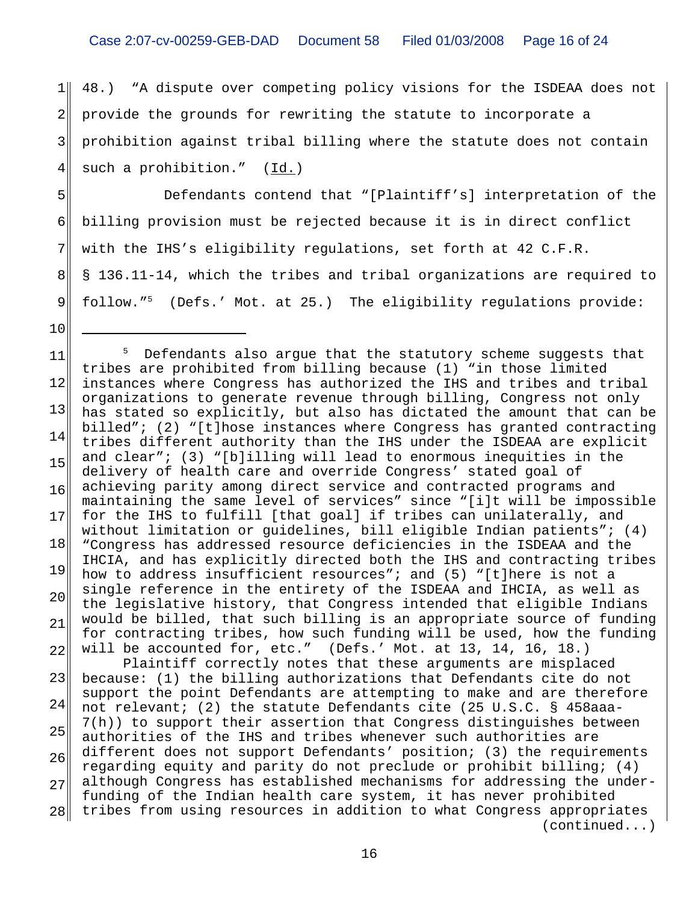$1$ 2 3 4 48.) "A dispute over competing policy visions for the ISDEAA does not provide the grounds for rewriting the statute to incorporate a prohibition against tribal billing where the statute does not contain such a prohibition."  $(\underline{Id.})$ 

5 7 8 Defendants contend that "[Plaintiff's] interpretation of the billing provision must be rejected because it is in direct conflict with the IHS's eligibility regulations, set forth at 42 C.F.R. § 136.11-14, which the tribes and tribal organizations are required to follow."5 (Defs.' Mot. at 25.) The eligibility regulations provide:

6

9

10

11 12 13 14 15 16 17 18 19 20 21 22 23 24 25 26 27 28 <sup>5</sup> Defendants also argue that the statutory scheme suggests that tribes are prohibited from billing because (1) "in those limited instances where Congress has authorized the IHS and tribes and tribal organizations to generate revenue through billing, Congress not only has stated so explicitly, but also has dictated the amount that can be billed"; (2) "[t]hose instances where Congress has granted contracting tribes different authority than the IHS under the ISDEAA are explicit and clear"; (3) "[b]illing will lead to enormous inequities in the delivery of health care and override Congress' stated goal of achieving parity among direct service and contracted programs and maintaining the same level of services" since "[i]t will be impossible for the IHS to fulfill [that goal] if tribes can unilaterally, and without limitation or guidelines, bill eligible Indian patients"; (4) "Congress has addressed resource deficiencies in the ISDEAA and the IHCIA, and has explicitly directed both the IHS and contracting tribes how to address insufficient resources"; and (5) "[t]here is not a single reference in the entirety of the ISDEAA and IHCIA, as well as the legislative history, that Congress intended that eligible Indians would be billed, that such billing is an appropriate source of funding for contracting tribes, how such funding will be used, how the funding will be accounted for, etc." (Defs.' Mot. at 13, 14, 16, 18.) Plaintiff correctly notes that these arguments are misplaced because: (1) the billing authorizations that Defendants cite do not support the point Defendants are attempting to make and are therefore not relevant; (2) the statute Defendants cite (25 U.S.C. § 458aaa-7(h)) to support their assertion that Congress distinguishes between authorities of the IHS and tribes whenever such authorities are different does not support Defendants' position; (3) the requirements regarding equity and parity do not preclude or prohibit billing; (4) although Congress has established mechanisms for addressing the underfunding of the Indian health care system, it has never prohibited tribes from using resources in addition to what Congress appropriates (continued...)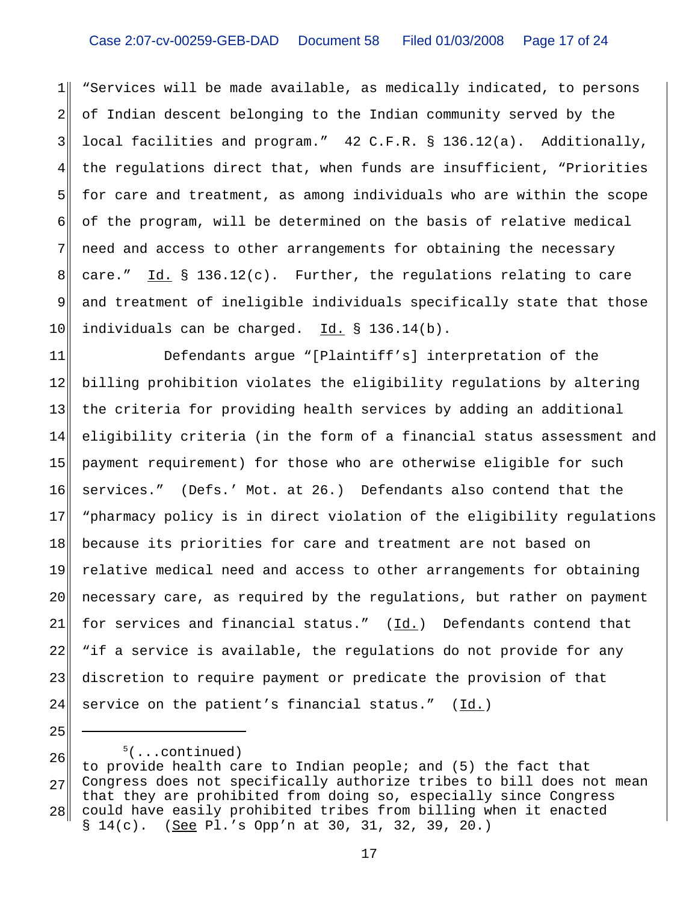$1$ 2 3 4 5 6 7 8 9 10 "Services will be made available, as medically indicated, to persons of Indian descent belonging to the Indian community served by the local facilities and program." 42 C.F.R. § 136.12(a). Additionally, the regulations direct that, when funds are insufficient, "Priorities for care and treatment, as among individuals who are within the scope of the program, will be determined on the basis of relative medical need and access to other arrangements for obtaining the necessary care."  $\underline{Id.}$  § 136.12(c). Further, the regulations relating to care and treatment of ineligible individuals specifically state that those individuals can be charged.Id. § 136.14(b).

11 12 13 14 15 16 17 18 19 20 21 22 23 24 Defendants argue "[Plaintiff's] interpretation of the billing prohibition violates the eligibility regulations by altering the criteria for providing health services by adding an additional eligibility criteria (in the form of a financial status assessment and payment requirement) for those who are otherwise eligible for such services." (Defs.' Mot. at 26.) Defendants also contend that the "pharmacy policy is in direct violation of the eligibility regulations because its priorities for care and treatment are not based on relative medical need and access to other arrangements for obtaining necessary care, as required by the regulations, but rather on payment for services and financial status."  $(\underline{Id.})$  Defendants contend that "if a service is available, the regulations do not provide for any discretion to require payment or predicate the provision of that service on the patient's financial status."  $(Id.)$ 

 <sup>5</sup>  $5($ ...continued)

<sup>26</sup> 27 28 to provide health care to Indian people; and (5) the fact that Congress does not specifically authorize tribes to bill does not mean that they are prohibited from doing so, especially since Congress could have easily prohibited tribes from billing when it enacted § 14(c). (See Pl.'s Opp'n at 30, 31, 32, 39, 20.)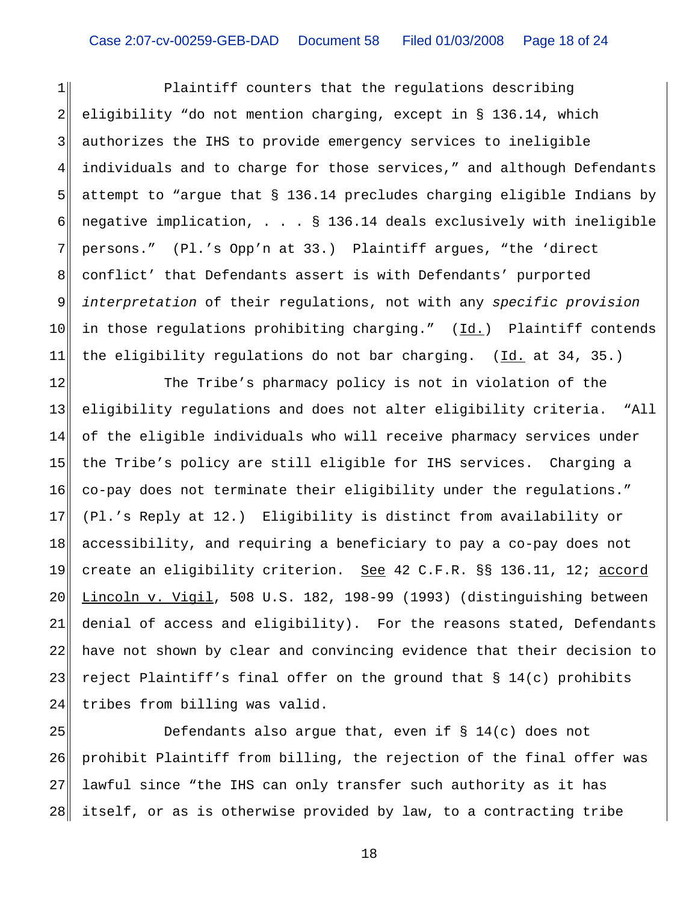$1$ 2 3 4 5 6 7 8 9 10 11 Plaintiff counters that the regulations describing eligibility "do not mention charging, except in § 136.14, which authorizes the IHS to provide emergency services to ineligible individuals and to charge for those services," and although Defendants attempt to "argue that § 136.14 precludes charging eligible Indians by negative implication, . . . § 136.14 deals exclusively with ineligible persons." (Pl.'s Opp'n at 33.) Plaintiff argues, "the 'direct conflict' that Defendants assert is with Defendants' purported *interpretation* of their regulations, not with any *specific provision* in those regulations prohibiting charging."  $(Id.)$  Plaintiff contends the eligibility regulations do not bar charging. (Id. at 34, 35.)

12 13 14 15 16 17 18 19 20 21 22 23 24 The Tribe's pharmacy policy is not in violation of the eligibility regulations and does not alter eligibility criteria. "All of the eligible individuals who will receive pharmacy services under the Tribe's policy are still eligible for IHS services. Charging a co-pay does not terminate their eligibility under the regulations." (Pl.'s Reply at 12.) Eligibility is distinct from availability or accessibility, and requiring a beneficiary to pay a co-pay does not create an eligibility criterion. See 42 C.F.R. §§ 136.11, 12; accord Lincoln v. Vigil, 508 U.S. 182, 198-99 (1993) (distinguishing between denial of access and eligibility). For the reasons stated, Defendants have not shown by clear and convincing evidence that their decision to reject Plaintiff's final offer on the ground that § 14(c) prohibits tribes from billing was valid.

25 26 27 28 Defendants also argue that, even if  $\S$  14(c) does not prohibit Plaintiff from billing, the rejection of the final offer was lawful since "the IHS can only transfer such authority as it has itself, or as is otherwise provided by law, to a contracting tribe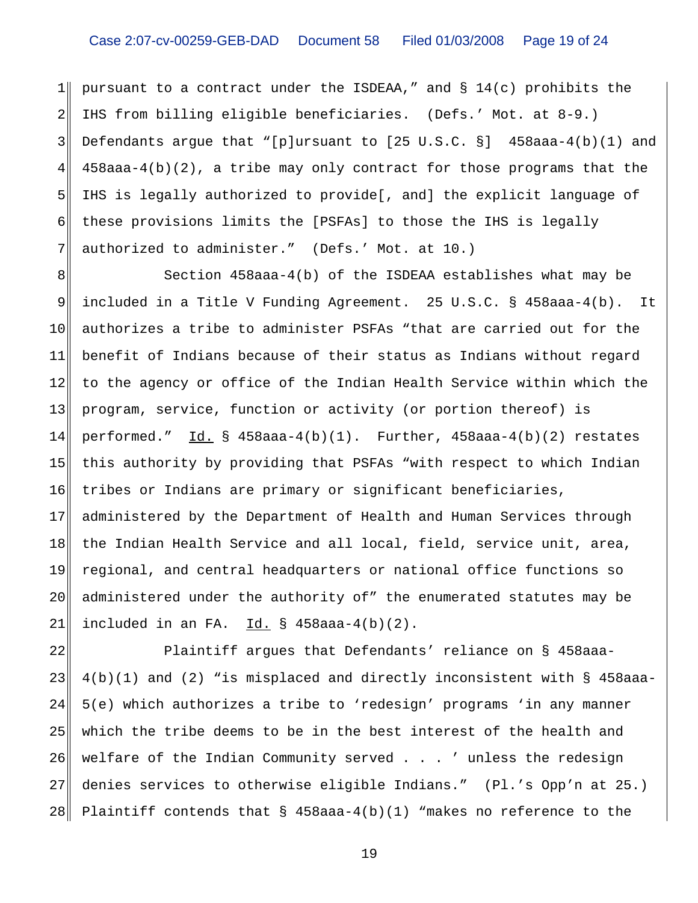$1$ 2 3 4 5 6 7 pursuant to a contract under the ISDEAA," and § 14(c) prohibits the IHS from billing eligible beneficiaries. (Defs.' Mot. at 8-9.) Defendants argue that "[p]ursuant to  $[25 \text{ U.S.C. }$  §] 458aaa-4(b)(1) and 458aaa-4(b)(2), a tribe may only contract for those programs that the IHS is legally authorized to provide[, and] the explicit language of these provisions limits the [PSFAs] to those the IHS is legally authorized to administer." (Defs.' Mot. at 10.)

8 9 10 11 12 13 14 15 16 17 18 19 20 21 Section 458aaa-4(b) of the ISDEAA establishes what may be included in a Title V Funding Agreement. 25 U.S.C. § 458aaa-4(b). It authorizes a tribe to administer PSFAs "that are carried out for the benefit of Indians because of their status as Indians without regard to the agency or office of the Indian Health Service within which the program, service, function or activity (or portion thereof) is performed."  $\underline{Id.}$  § 458aaa-4(b)(1). Further, 458aaa-4(b)(2) restates this authority by providing that PSFAs "with respect to which Indian tribes or Indians are primary or significant beneficiaries, administered by the Department of Health and Human Services through the Indian Health Service and all local, field, service unit, area, regional, and central headquarters or national office functions so administered under the authority of" the enumerated statutes may be included in an FA.  $Id. \S$  458aaa-4(b)(2).

22 23 24 25 26 27 28 Plaintiff argues that Defendants' reliance on § 458aaa-4(b)(1) and (2) "is misplaced and directly inconsistent with § 458aaa-5(e) which authorizes a tribe to 'redesign' programs 'in any manner which the tribe deems to be in the best interest of the health and welfare of the Indian Community served . . . ' unless the redesign denies services to otherwise eligible Indians." (Pl.'s Opp'n at 25.) Plaintiff contends that § 458aaa-4(b)(1) "makes no reference to the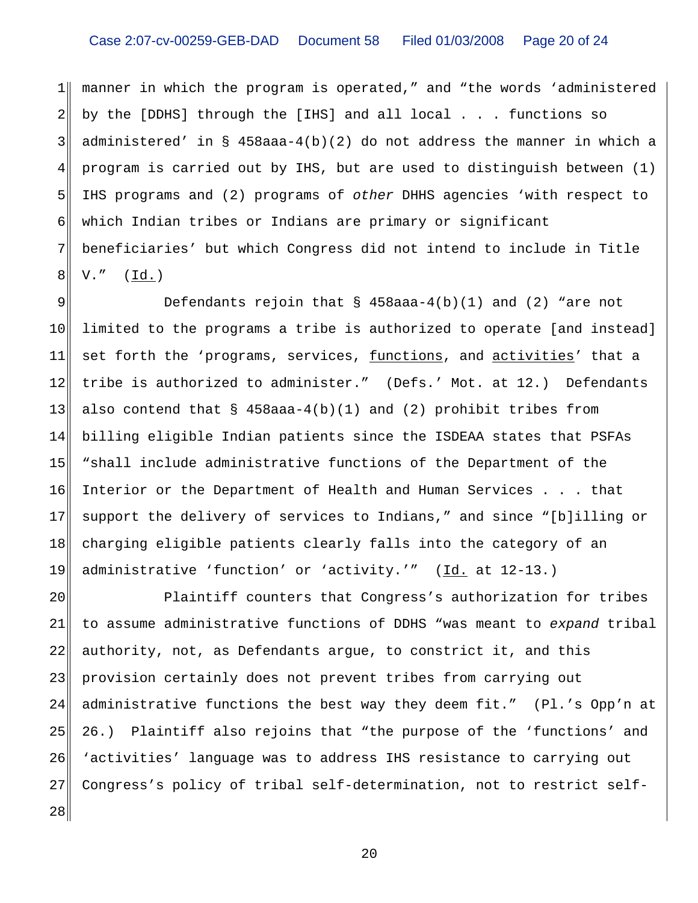# Case 2:07-cv-00259-GEB-DAD Document 58 Filed 01/03/2008 Page 20 of 24

 $1$ 2 3 4 5 6 7 8 manner in which the program is operated," and "the words 'administered by the [DDHS] through the [IHS] and all local . . . functions so administered' in § 458aaa-4(b)(2) do not address the manner in which a program is carried out by IHS, but are used to distinguish between (1) IHS programs and (2) programs of *other* DHHS agencies 'with respect to which Indian tribes or Indians are primary or significant beneficiaries' but which Congress did not intend to include in Title  $V.$ " ( $\underline{Id.}$ )

9 10 11 12 13 14 15 16 17 18 19 Defendants rejoin that  $\S$  458aaa-4(b)(1) and (2) "are not limited to the programs a tribe is authorized to operate [and instead] set forth the 'programs, services, functions, and activities' that a tribe is authorized to administer." (Defs.' Mot. at 12.) Defendants also contend that  $\S$  458aaa-4(b)(1) and (2) prohibit tribes from billing eligible Indian patients since the ISDEAA states that PSFAs "shall include administrative functions of the Department of the Interior or the Department of Health and Human Services . . . that support the delivery of services to Indians," and since "[b]illing or charging eligible patients clearly falls into the category of an administrative 'function' or 'activity.'" (Id. at 12-13.)

20 21 22 23 24 25 26 27 28 Plaintiff counters that Congress's authorization for tribes to assume administrative functions of DDHS "was meant to *expand* tribal authority, not, as Defendants argue, to constrict it, and this provision certainly does not prevent tribes from carrying out administrative functions the best way they deem fit." (Pl.'s Opp'n at 26.) Plaintiff also rejoins that "the purpose of the 'functions' and 'activities' language was to address IHS resistance to carrying out Congress's policy of tribal self-determination, not to restrict self-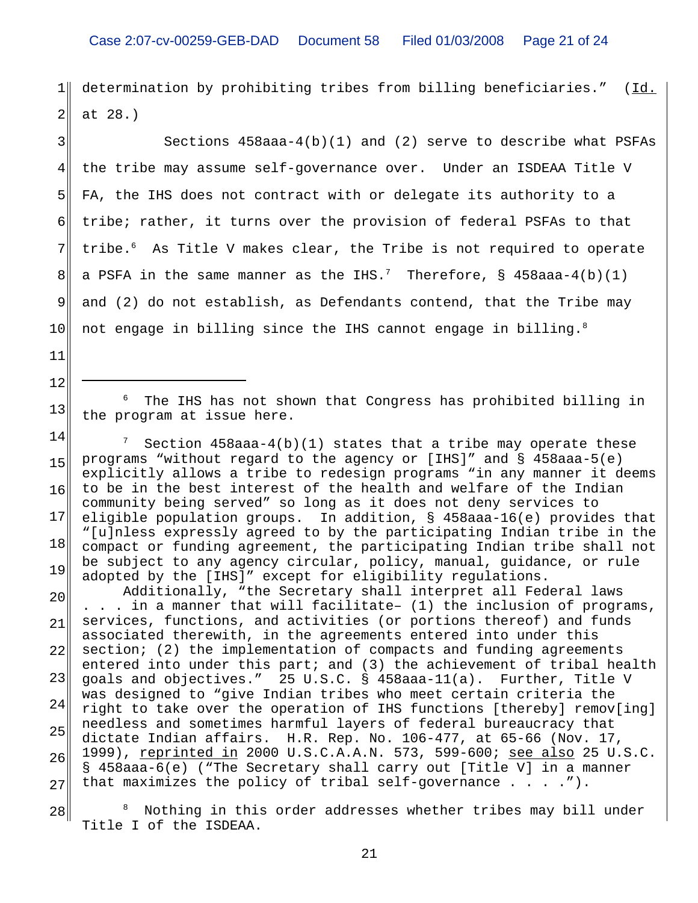$1$ 2 determination by prohibiting tribes from billing beneficiaries." (Id. at 28.)

3 4 5 6 7 8 9 10 Sections  $458$ aaa- $4(b)(1)$  and  $(2)$  serve to describe what PSFAs the tribe may assume self-governance over. Under an ISDEAA Title V FA, the IHS does not contract with or delegate its authority to a tribe; rather, it turns over the provision of federal PSFAs to that tribe.<sup>6</sup> As Title V makes clear, the Tribe is not required to operate a PSFA in the same manner as the IHS. $^7$  Therefore, § 458aaa-4(b)(1) and (2) do not establish, as Defendants contend, that the Tribe may not engage in billing since the IHS cannot engage in billing. $8$ 

11

12

13

<sup>6</sup> The IHS has not shown that Congress has prohibited billing in the program at issue here.

14 15 16 17 18 19  $7$  Section 458aaa-4(b)(1) states that a tribe may operate these programs "without regard to the agency or [IHS]" and § 458aaa-5(e) explicitly allows a tribe to redesign programs "in any manner it deems to be in the best interest of the health and welfare of the Indian community being served" so long as it does not deny services to eligible population groups. In addition, § 458aaa-16(e) provides that "[u]nless expressly agreed to by the participating Indian tribe in the compact or funding agreement, the participating Indian tribe shall not be subject to any agency circular, policy, manual, guidance, or rule adopted by the [IHS]" except for eligibility regulations.

20 21 22 23 24 25 26 27 Additionally, "the Secretary shall interpret all Federal laws . . . in a manner that will facilitate– (1) the inclusion of programs, services, functions, and activities (or portions thereof) and funds associated therewith, in the agreements entered into under this section; (2) the implementation of compacts and funding agreements entered into under this part; and (3) the achievement of tribal health goals and objectives." 25 U.S.C. § 458aaa-11(a). Further, Title V was designed to "give Indian tribes who meet certain criteria the right to take over the operation of IHS functions [thereby] remov[ing] needless and sometimes harmful layers of federal bureaucracy that dictate Indian affairs. H.R. Rep. No. 106-477, at 65-66 (Nov. 17, 1999), reprinted in 2000 U.S.C.A.A.N. 573, 599-600; see also 25 U.S.C. § 458aaa-6(e) ("The Secretary shall carry out [Title V] in a manner that maximizes the policy of tribal self-governance . . . .").

28 8 Nothing in this order addresses whether tribes may bill under Title I of the ISDEAA.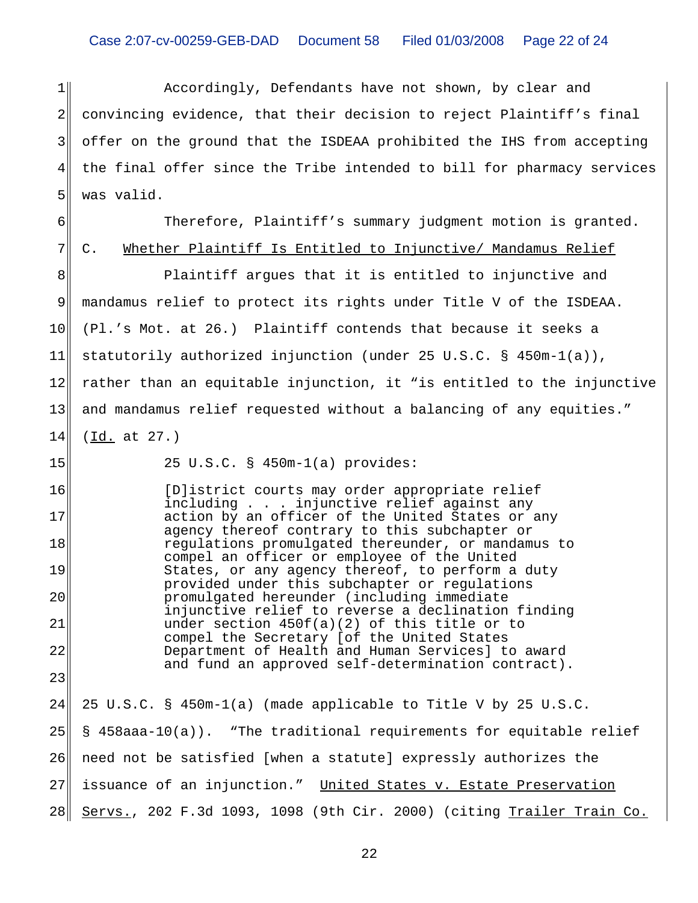$1$ 2 3 4 5 Accordingly, Defendants have not shown, by clear and convincing evidence, that their decision to reject Plaintiff's final offer on the ground that the ISDEAA prohibited the IHS from accepting the final offer since the Tribe intended to bill for pharmacy services was valid.

6 Therefore, Plaintiff's summary judgment motion is granted. C. Whether Plaintiff Is Entitled to Injunctive/ Mandamus Relief

8 9 10 11 12 13 14 Plaintiff argues that it is entitled to injunctive and mandamus relief to protect its rights under Title V of the ISDEAA. (Pl.'s Mot. at 26.) Plaintiff contends that because it seeks a statutorily authorized injunction (under 25 U.S.C. § 450m-1(a)), rather than an equitable injunction, it "is entitled to the injunctive and mandamus relief requested without a balancing of any equities." (Id. at 27.)

15

16

17

18

19

20

21

22

23

7

25 U.S.C. § 450m-1(a) provides:

[D]istrict courts may order appropriate relief including . . . injunctive relief against any action by an officer of the United States or any agency thereof contrary to this subchapter or regulations promulgated thereunder, or mandamus to compel an officer or employee of the United States, or any agency thereof, to perform a duty provided under this subchapter or regulations promulgated hereunder (including immediate injunctive relief to reverse a declination finding under section 450f(a)(2) of this title or to compel the Secretary [of the United States Department of Health and Human Services] to award and fund an approved self-determination contract).

24 25 26 27 28 25 U.S.C. § 450m-1(a) (made applicable to Title V by 25 U.S.C. § 458aaa-10(a)). "The traditional requirements for equitable relief need not be satisfied [when a statute] expressly authorizes the issuance of an injunction." United States v. Estate Preservation Servs., 202 F.3d 1093, 1098 (9th Cir. 2000) (citing Trailer Train Co.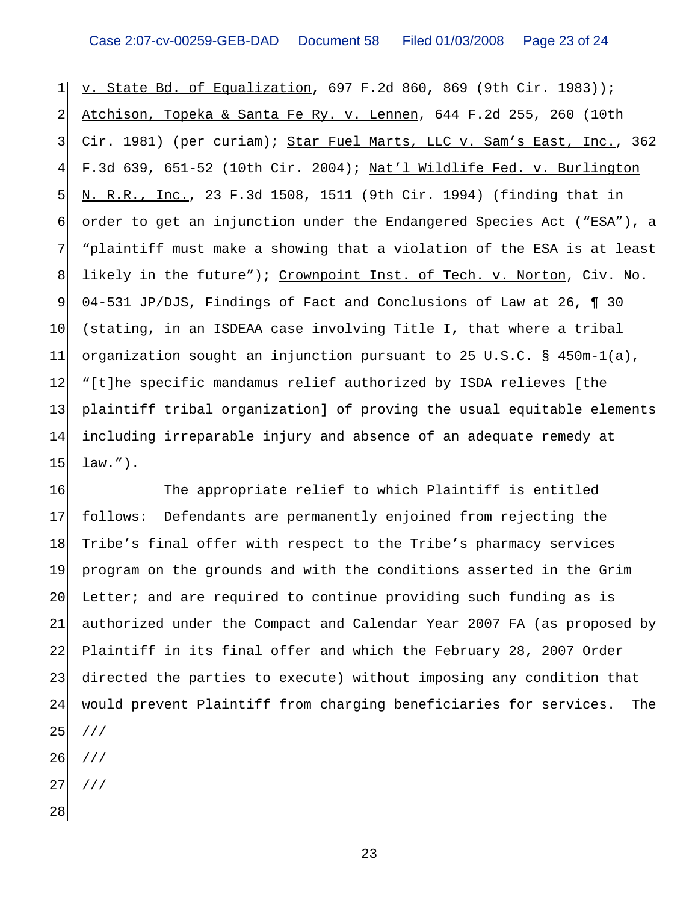$1$ 2 3 4 5 6 7 8 9 10 11 12 13 14 15 v. State Bd. of Equalization, 697 F.2d 860, 869 (9th Cir. 1983)); Atchison, Topeka & Santa Fe Ry. v. Lennen, 644 F.2d 255, 260 (10th Cir. 1981) (per curiam); Star Fuel Marts, LLC v. Sam's East, Inc., 362 F.3d 639, 651-52 (10th Cir. 2004); Nat'l Wildlife Fed. v. Burlington N. R.R., Inc., 23 F.3d 1508, 1511 (9th Cir. 1994) (finding that in order to get an injunction under the Endangered Species Act ("ESA"), a "plaintiff must make a showing that a violation of the ESA is at least likely in the future"); Crownpoint Inst. of Tech. v. Norton, Civ. No. 04-531 JP/DJS, Findings of Fact and Conclusions of Law at 26, ¶ 30 (stating, in an ISDEAA case involving Title I, that where a tribal organization sought an injunction pursuant to 25 U.S.C. § 450m-1(a), "[t]he specific mandamus relief authorized by ISDA relieves [the plaintiff tribal organization] of proving the usual equitable elements including irreparable injury and absence of an adequate remedy at law.").

16 17 18 19 20 21 22 23 24 25 The appropriate relief to which Plaintiff is entitled follows: Defendants are permanently enjoined from rejecting the Tribe's final offer with respect to the Tribe's pharmacy services program on the grounds and with the conditions asserted in the Grim Letter; and are required to continue providing such funding as is authorized under the Compact and Calendar Year 2007 FA (as proposed by Plaintiff in its final offer and which the February 28, 2007 Order directed the parties to execute) without imposing any condition that would prevent Plaintiff from charging beneficiaries for services. The ///

- 26 ///
- 27 ///
- 28